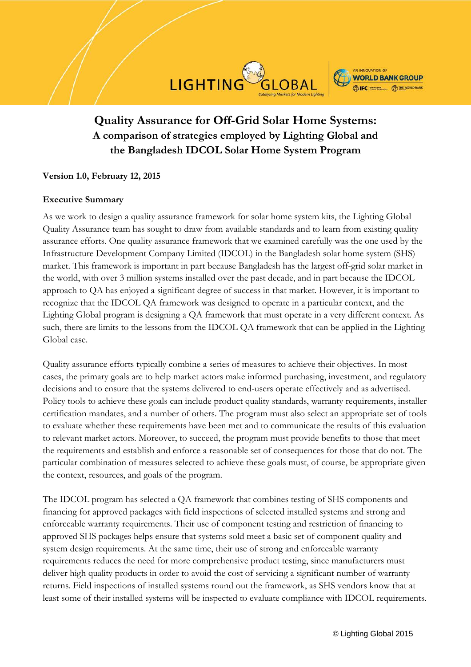# **Quality Assurance for Off-Grid Solar Home Systems: A comparison of strategies employed by Lighting Global and the Bangladesh IDCOL Solar Home System Program**

LIGHTING

## **Version 1.0, February 12, 2015**

#### **Executive Summary**

As we work to design a quality assurance framework for solar home system kits, the Lighting Global Quality Assurance team has sought to draw from available standards and to learn from existing quality assurance efforts. One quality assurance framework that we examined carefully was the one used by the Infrastructure Development Company Limited (IDCOL) in the Bangladesh solar home system (SHS) market. This framework is important in part because Bangladesh has the largest off-grid solar market in the world, with over 3 million systems installed over the past decade, and in part because the IDCOL approach to QA has enjoyed a significant degree of success in that market. However, it is important to recognize that the IDCOL QA framework was designed to operate in a particular context, and the Lighting Global program is designing a QA framework that must operate in a very different context. As such, there are limits to the lessons from the IDCOL QA framework that can be applied in the Lighting Global case.

Quality assurance efforts typically combine a series of measures to achieve their objectives. In most cases, the primary goals are to help market actors make informed purchasing, investment, and regulatory decisions and to ensure that the systems delivered to end-users operate effectively and as advertised. Policy tools to achieve these goals can include product quality standards, warranty requirements, installer certification mandates, and a number of others. The program must also select an appropriate set of tools to evaluate whether these requirements have been met and to communicate the results of this evaluation to relevant market actors. Moreover, to succeed, the program must provide benefits to those that meet the requirements and establish and enforce a reasonable set of consequences for those that do not. The particular combination of measures selected to achieve these goals must, of course, be appropriate given the context, resources, and goals of the program.

The IDCOL program has selected a QA framework that combines testing of SHS components and financing for approved packages with field inspections of selected installed systems and strong and enforceable warranty requirements. Their use of component testing and restriction of financing to approved SHS packages helps ensure that systems sold meet a basic set of component quality and system design requirements. At the same time, their use of strong and enforceable warranty requirements reduces the need for more comprehensive product testing, since manufacturers must deliver high quality products in order to avoid the cost of servicing a significant number of warranty returns. Field inspections of installed systems round out the framework, as SHS vendors know that at least some of their installed systems will be inspected to evaluate compliance with IDCOL requirements.

**WORLD BANK GROUP ESIFC** EXECUTE: **CED THE WORLD BANK**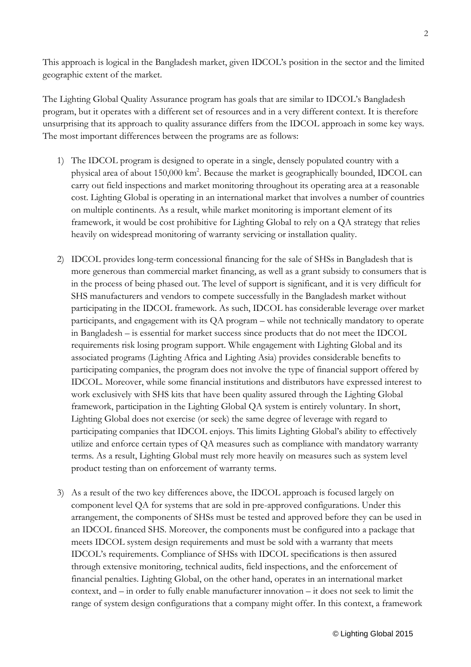This approach is logical in the Bangladesh market, given IDCOL's position in the sector and the limited geographic extent of the market.

The Lighting Global Quality Assurance program has goals that are similar to IDCOL's Bangladesh program, but it operates with a different set of resources and in a very different context. It is therefore unsurprising that its approach to quality assurance differs from the IDCOL approach in some key ways. The most important differences between the programs are as follows:

- 1) The IDCOL program is designed to operate in a single, densely populated country with a physical area of about 150,000 km<sup>2</sup>. Because the market is geographically bounded, IDCOL can carry out field inspections and market monitoring throughout its operating area at a reasonable cost. Lighting Global is operating in an international market that involves a number of countries on multiple continents. As a result, while market monitoring is important element of its framework, it would be cost prohibitive for Lighting Global to rely on a QA strategy that relies heavily on widespread monitoring of warranty servicing or installation quality.
- 2) IDCOL provides long-term concessional financing for the sale of SHSs in Bangladesh that is more generous than commercial market financing, as well as a grant subsidy to consumers that is in the process of being phased out. The level of support is significant, and it is very difficult for SHS manufacturers and vendors to compete successfully in the Bangladesh market without participating in the IDCOL framework. As such, IDCOL has considerable leverage over market participants, and engagement with its QA program – while not technically mandatory to operate in Bangladesh – is essential for market success since products that do not meet the IDCOL requirements risk losing program support. While engagement with Lighting Global and its associated programs (Lighting Africa and Lighting Asia) provides considerable benefits to participating companies, the program does not involve the type of financial support offered by IDCOL. Moreover, while some financial institutions and distributors have expressed interest to work exclusively with SHS kits that have been quality assured through the Lighting Global framework, participation in the Lighting Global QA system is entirely voluntary. In short, Lighting Global does not exercise (or seek) the same degree of leverage with regard to participating companies that IDCOL enjoys. This limits Lighting Global's ability to effectively utilize and enforce certain types of QA measures such as compliance with mandatory warranty terms. As a result, Lighting Global must rely more heavily on measures such as system level product testing than on enforcement of warranty terms.
- 3) As a result of the two key differences above, the IDCOL approach is focused largely on component level QA for systems that are sold in pre-approved configurations. Under this arrangement, the components of SHSs must be tested and approved before they can be used in an IDCOL financed SHS. Moreover, the components must be configured into a package that meets IDCOL system design requirements and must be sold with a warranty that meets IDCOL's requirements. Compliance of SHSs with IDCOL specifications is then assured through extensive monitoring, technical audits, field inspections, and the enforcement of financial penalties. Lighting Global, on the other hand, operates in an international market context, and – in order to fully enable manufacturer innovation – it does not seek to limit the range of system design configurations that a company might offer. In this context, a framework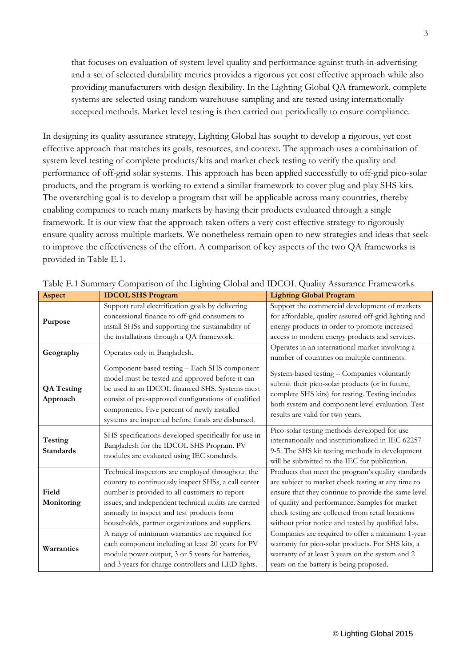that focuses on evaluation of system level quality and performance against truth-in-advertising and a set of selected durability metrics provides a rigorous yet cost effective approach while also providing manufacturers with design flexibility. In the Lighting Global QA framework, complete systems are selected using random warehouse sampling and are tested using internationally accepted methods. Market level testing is then carried out periodically to ensure compliance.

In designing its quality assurance strategy, Lighting Global has sought to develop a rigorous, yet cost effective approach that matches its goals, resources, and context. The approach uses a combination of system level testing of complete products/kits and market check testing to verify the quality and performance of off-grid solar systems. This approach has been applied successfully to off-grid pico-solar products, and the program is working to extend a similar framework to cover plug and play SHS kits. The overarching goal is to develop a program that will be applicable across many countries, thereby enabling companies to reach many markets by having their products evaluated through a single framework. It is our view that the approach taken offers a very cost effective strategy to rigorously ensure quality across multiple markets. We nonetheless remain open to new strategies and ideas that seek to improve the effectiveness of the effort. A comparison of key aspects of the two QA frameworks is provided in Table E.1.

| Aspect                             | <b>IDCOL SHS Program</b>                                                                                                                                                                                                                                                                                           | <b>Lighting Global Program</b>                                                                                                                                                                                                                                                                                               |
|------------------------------------|--------------------------------------------------------------------------------------------------------------------------------------------------------------------------------------------------------------------------------------------------------------------------------------------------------------------|------------------------------------------------------------------------------------------------------------------------------------------------------------------------------------------------------------------------------------------------------------------------------------------------------------------------------|
| Purpose                            | Support rural electrification goals by delivering<br>concessional finance to off-grid consumers to<br>install SHSs and supporting the sustainability of<br>the installations through a QA framework.                                                                                                               | Support the commercial development of markets<br>for affordable, quality assured off-grid lighting and<br>energy products in order to promote increased<br>access to modern energy products and services.                                                                                                                    |
| Geography                          | Operates only in Bangladesh.                                                                                                                                                                                                                                                                                       | Operates in an international market involving a<br>number of countries on multiple continents.                                                                                                                                                                                                                               |
| <b>QA Testing</b><br>Approach      | Component-based testing - Each SHS component<br>model must be tested and approved before it can<br>be used in an IDCOL financed SHS. Systems must<br>consist of pre-approved configurations of qualified<br>components. Five percent of newly installed<br>systems are inspected before funds are disbursed.       | System-based testing - Companies voluntarily<br>submit their pico-solar products (or in future,<br>complete SHS kits) for testing. Testing includes<br>both system and component level evaluation. Test<br>results are valid for two years.                                                                                  |
| <b>Testing</b><br><b>Standards</b> | SHS specifications developed specifically for use in<br>Bangladesh for the IDCOL SHS Program. PV<br>modules are evaluated using IEC standards.                                                                                                                                                                     | Pico-solar testing methods developed for use<br>internationally and institutionalized in IEC 62257-<br>9-5. The SHS kit testing methods in development<br>will be submitted to the IEC for publication.                                                                                                                      |
| Field<br>Monitoring                | Technical inspectors are employed throughout the<br>country to continuously inspect SHSs, a call center<br>number is provided to all customers to report<br>issues, and independent technical audits are carried<br>annually to inspect and test products from<br>households, partner organizations and suppliers. | Products that meet the program's quality standards<br>are subject to market check testing at any time to<br>ensure that they continue to provide the same level<br>of quality and performance. Samples for market<br>check testing are collected from retail locations<br>without prior notice and tested by qualified labs. |
| Warranties                         | A range of minimum warranties are required for<br>each component including at least 20 years for PV<br>module power output, 3 or 5 years for batteries,<br>and 3 years for charge controllers and LED lights.                                                                                                      | Companies are required to offer a minimum 1-year<br>warranty for pico-solar products. For SHS kits, a<br>warranty of at least 3 years on the system and 2<br>years on the battery is being proposed.                                                                                                                         |

Table E.1 Summary Comparison of the Lighting Global and IDCOL Quality Assurance Frameworks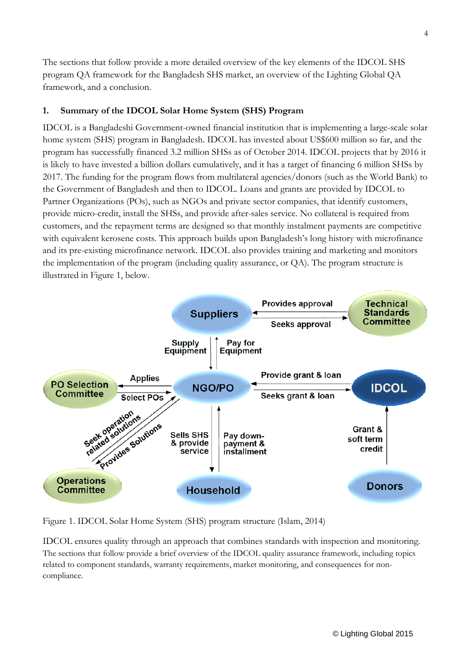The sections that follow provide a more detailed overview of the key elements of the IDCOL SHS program QA framework for the Bangladesh SHS market, an overview of the Lighting Global QA framework, and a conclusion.

## **1. Summary of the IDCOL Solar Home System (SHS) Program**

IDCOL is a Bangladeshi Government-owned financial institution that is implementing a large-scale solar home system (SHS) program in Bangladesh. IDCOL has invested about US\$600 million so far, and the program has successfully financed 3.2 million SHSs as of October 2014. IDCOL projects that by 2016 it is likely to have invested a billion dollars cumulatively, and it has a target of financing 6 million SHSs by 2017. The funding for the program flows from multilateral agencies/donors (such as the World Bank) to the Government of Bangladesh and then to IDCOL. Loans and grants are provided by IDCOL to Partner Organizations (POs), such as NGOs and private sector companies, that identify customers, provide micro-credit, install the SHSs, and provide after-sales service. No collateral is required from customers, and the repayment terms are designed so that monthly instalment payments are competitive with equivalent kerosene costs. This approach builds upon Bangladesh's long history with microfinance and its pre-existing microfinance network. IDCOL also provides training and marketing and monitors the implementation of the program (including quality assurance, or QA). The program structure is illustrated in Figure 1, below.



Figure 1. IDCOL Solar Home System (SHS) program structure (Islam, 2014)

IDCOL ensures quality through an approach that combines standards with inspection and monitoring. The sections that follow provide a brief overview of the IDCOL quality assurance framework, including topics related to component standards, warranty requirements, market monitoring, and consequences for noncompliance.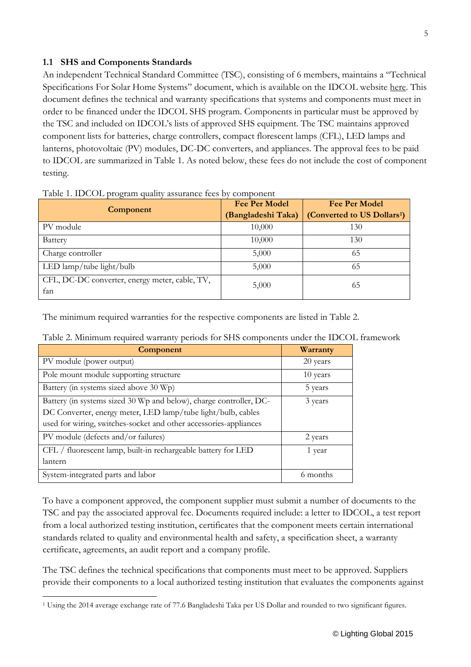## **1.1 SHS and Components Standards**

An independent Technical Standard Committee (TSC), consisting of 6 members, maintains a "Technical Specifications For Solar Home Systems" document, which is available on the IDCOL website [here.](http://idcol.org/download/a86508e6f1ecc4bf3ac0f1c8ed6038cb.pdf) This document defines the technical and warranty specifications that systems and components must meet in order to be financed under the IDCOL SHS program. Components in particular must be approved by the TSC and included on IDCOL's lists of approved SHS equipment. The TSC maintains approved component lists for batteries, charge controllers, compact florescent lamps (CFL), LED lamps and lanterns, photovoltaic (PV) modules, DC-DC converters, and appliances. The approval fees to be paid to IDCOL are summarized in Table 1. As noted below, these fees do not include the cost of component testing.

| Component                                             | <b>Fee Per Model</b><br>(Bangladeshi Taka) | <b>Fee Per Model</b><br>(Converted to US Dollars <sup>1</sup> ) |
|-------------------------------------------------------|--------------------------------------------|-----------------------------------------------------------------|
| PV module                                             | 10,000                                     | 130                                                             |
| <b>Battery</b>                                        | 10,000                                     | 130                                                             |
| Charge controller                                     | 5,000                                      | 65                                                              |
| LED lamp/tube light/bulb                              | 5,000                                      | 65                                                              |
| CFL, DC-DC converter, energy meter, cable, TV,<br>fan | 5,000                                      | 65                                                              |

The minimum required warranties for the respective components are listed in Table 2.

|  |  |  |  |  | Table 2. Minimum required warranty periods for SHS components under the IDCOL framework |
|--|--|--|--|--|-----------------------------------------------------------------------------------------|
|--|--|--|--|--|-----------------------------------------------------------------------------------------|

| <b>Component</b>                                                                                                                                                                                        | Warranty |
|---------------------------------------------------------------------------------------------------------------------------------------------------------------------------------------------------------|----------|
| PV module (power output)                                                                                                                                                                                | 20 years |
| Pole mount module supporting structure                                                                                                                                                                  | 10 years |
| Battery (in systems sized above 30 Wp)                                                                                                                                                                  | 5 years  |
| Battery (in systems sized 30 Wp and below), charge controller, DC-<br>DC Converter, energy meter, LED lamp/tube light/bulb, cables<br>used for wiring, switches-socket and other accessories-appliances | 3 years  |
| PV module (defects and/or failures)                                                                                                                                                                     | 2 years  |
| CFL / fluorescent lamp, built-in rechargeable battery for LED<br>lantern                                                                                                                                | 1 year   |
| System-integrated parts and labor                                                                                                                                                                       | 6 months |

To have a component approved, the component supplier must submit a number of documents to the TSC and pay the associated approval fee. Documents required include: a letter to IDCOL, a test report from a local authorized testing institution, certificates that the component meets certain international standards related to quality and environmental health and safety, a specification sheet, a warranty certificate, agreements, an audit report and a company profile.

The TSC defines the technical specifications that components must meet to be approved. Suppliers provide their components to a local authorized testing institution that evaluates the components against

<span id="page-4-0"></span> $\overline{a}$ <sup>1</sup> Using the 2014 average exchange rate of 77.6 Bangladeshi Taka per US Dollar and rounded to two significant figures.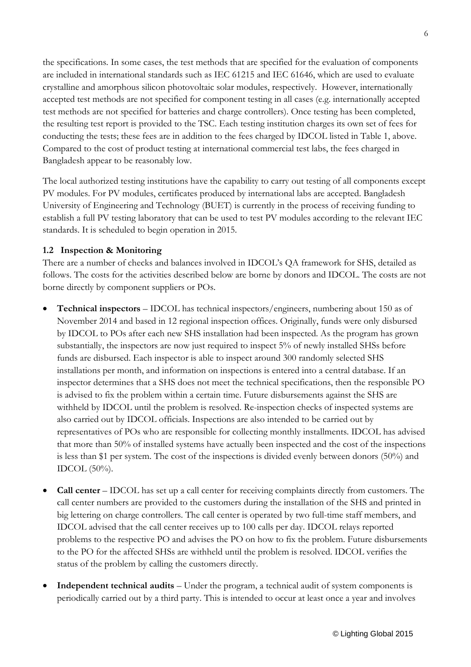the specifications. In some cases, the test methods that are specified for the evaluation of components are included in international standards such as IEC 61215 and IEC 61646, which are used to evaluate crystalline and amorphous silicon photovoltaic solar modules, respectively. However, internationally accepted test methods are not specified for component testing in all cases (e.g. internationally accepted test methods are not specified for batteries and charge controllers). Once testing has been completed, the resulting test report is provided to the TSC. Each testing institution charges its own set of fees for conducting the tests; these fees are in addition to the fees charged by IDCOL listed in Table 1, above. Compared to the cost of product testing at international commercial test labs, the fees charged in Bangladesh appear to be reasonably low.

The local authorized testing institutions have the capability to carry out testing of all components except PV modules. For PV modules, certificates produced by international labs are accepted. Bangladesh University of Engineering and Technology (BUET) is currently in the process of receiving funding to establish a full PV testing laboratory that can be used to test PV modules according to the relevant IEC standards. It is scheduled to begin operation in 2015.

#### **1.2 Inspection & Monitoring**

There are a number of checks and balances involved in IDCOL's QA framework for SHS, detailed as follows. The costs for the activities described below are borne by donors and IDCOL. The costs are not borne directly by component suppliers or POs.

- **Technical inspectors** IDCOL has technical inspectors/engineers, numbering about 150 as of November 2014 and based in 12 regional inspection offices. Originally, funds were only disbursed by IDCOL to POs after each new SHS installation had been inspected. As the program has grown substantially, the inspectors are now just required to inspect 5% of newly installed SHSs before funds are disbursed. Each inspector is able to inspect around 300 randomly selected SHS installations per month, and information on inspections is entered into a central database. If an inspector determines that a SHS does not meet the technical specifications, then the responsible PO is advised to fix the problem within a certain time. Future disbursements against the SHS are withheld by IDCOL until the problem is resolved. Re-inspection checks of inspected systems are also carried out by IDCOL officials. Inspections are also intended to be carried out by representatives of POs who are responsible for collecting monthly installments. IDCOL has advised that more than 50% of installed systems have actually been inspected and the cost of the inspections is less than \$1 per system. The cost of the inspections is divided evenly between donors (50%) and IDCOL (50%).
- **Call center** IDCOL has set up a call center for receiving complaints directly from customers. The call center numbers are provided to the customers during the installation of the SHS and printed in big lettering on charge controllers. The call center is operated by two full-time staff members, and IDCOL advised that the call center receives up to 100 calls per day. IDCOL relays reported problems to the respective PO and advises the PO on how to fix the problem. Future disbursements to the PO for the affected SHSs are withheld until the problem is resolved. IDCOL verifies the status of the problem by calling the customers directly.
- **Independent technical audits** Under the program, a technical audit of system components is periodically carried out by a third party. This is intended to occur at least once a year and involves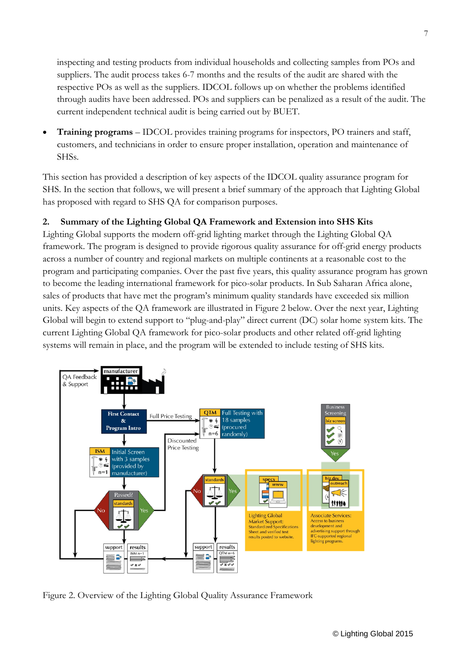inspecting and testing products from individual households and collecting samples from POs and suppliers. The audit process takes 6-7 months and the results of the audit are shared with the respective POs as well as the suppliers. IDCOL follows up on whether the problems identified through audits have been addressed. POs and suppliers can be penalized as a result of the audit. The current independent technical audit is being carried out by BUET.

• **Training programs** – IDCOL provides training programs for inspectors, PO trainers and staff, customers, and technicians in order to ensure proper installation, operation and maintenance of SHSs.

This section has provided a description of key aspects of the IDCOL quality assurance program for SHS. In the section that follows, we will present a brief summary of the approach that Lighting Global has proposed with regard to SHS QA for comparison purposes.

## **2. Summary of the Lighting Global QA Framework and Extension into SHS Kits**

Lighting Global supports the modern off-grid lighting market through the Lighting Global QA framework. The program is designed to provide rigorous quality assurance for off-grid energy products across a number of country and regional markets on multiple continents at a reasonable cost to the program and participating companies. Over the past five years, this quality assurance program has grown to become the leading international framework for pico-solar products. In Sub Saharan Africa alone, sales of products that have met the program's minimum quality standards have exceeded six million units. Key aspects of the QA framework are illustrated in Figure 2 below. Over the next year, Lighting Global will begin to extend support to "plug-and-play" direct current (DC) solar home system kits. The current Lighting Global QA framework for pico-solar products and other related off-grid lighting systems will remain in place, and the program will be extended to include testing of SHS kits.



Figure 2. Overview of the Lighting Global Quality Assurance Framework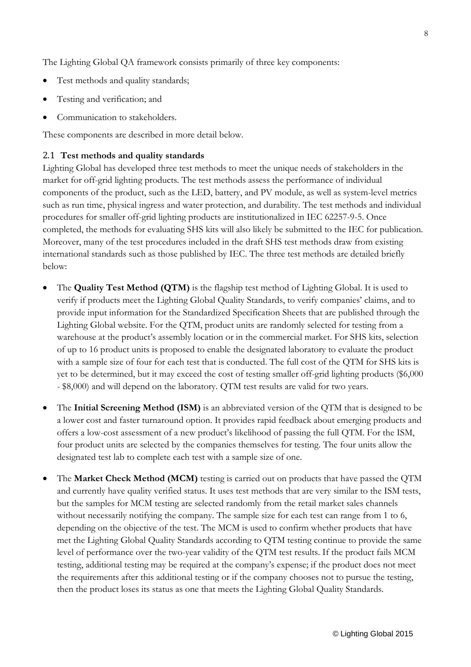The Lighting Global QA framework consists primarily of three key components:

- Test methods and quality standards;
- Testing and verification; and
- Communication to stakeholders.

These components are described in more detail below.

#### 2.1 **Test methods and quality standards**

Lighting Global has developed three test methods to meet the unique needs of stakeholders in the market for off-grid lighting products. The test methods assess the performance of individual components of the product, such as the LED, battery, and PV module, as well as system-level metrics such as run time, physical ingress and water protection, and durability. The test methods and individual procedures for smaller off-grid lighting products are institutionalized in IEC 62257-9-5. Once completed, the methods for evaluating SHS kits will also likely be submitted to the IEC for publication. Moreover, many of the test procedures included in the draft SHS test methods draw from existing international standards such as those published by IEC. The three test methods are detailed briefly below:

- The **Quality Test Method (QTM)** is the flagship test method of Lighting Global. It is used to verify if products meet the Lighting Global Quality Standards, to verify companies' claims, and to provide input information for the Standardized Specification Sheets that are published through the Lighting Global website. For the QTM, product units are randomly selected for testing from a warehouse at the product's assembly location or in the commercial market. For SHS kits, selection of up to 16 product units is proposed to enable the designated laboratory to evaluate the product with a sample size of four for each test that is conducted. The full cost of the QTM for SHS kits is yet to be determined, but it may exceed the cost of testing smaller off-grid lighting products (\$6,000 - \$8,000) and will depend on the laboratory. QTM test results are valid for two years.
- The **Initial Screening Method (ISM)** is an abbreviated version of the QTM that is designed to be a lower cost and faster turnaround option. It provides rapid feedback about emerging products and offers a low-cost assessment of a new product's likelihood of passing the full QTM. For the ISM, four product units are selected by the companies themselves for testing. The four units allow the designated test lab to complete each test with a sample size of one.
- The **Market Check Method (MCM)** testing is carried out on products that have passed the QTM and currently have quality verified status. It uses test methods that are very similar to the ISM tests, but the samples for MCM testing are selected randomly from the retail market sales channels without necessarily notifying the company. The sample size for each test can range from 1 to 6, depending on the objective of the test. The MCM is used to confirm whether products that have met the Lighting Global Quality Standards according to QTM testing continue to provide the same level of performance over the two-year validity of the QTM test results. If the product fails MCM testing, additional testing may be required at the company's expense; if the product does not meet the requirements after this additional testing or if the company chooses not to pursue the testing, then the product loses its status as one that meets the Lighting Global Quality Standards.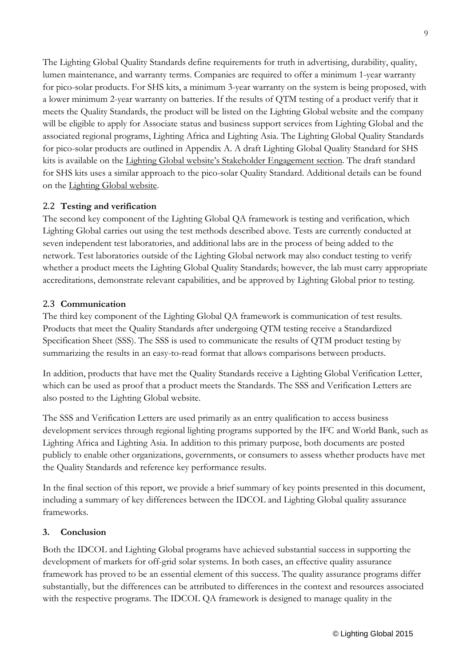The Lighting Global Quality Standards define requirements for truth in advertising, durability, quality, lumen maintenance, and warranty terms. Companies are required to offer a minimum 1-year warranty for pico-solar products. For SHS kits, a minimum 3-year warranty on the system is being proposed, with a lower minimum 2-year warranty on batteries. If the results of QTM testing of a product verify that it meets the Quality Standards, the product will be listed on the Lighting Global website and the company will be eligible to apply for Associate status and business support services from Lighting Global and the associated regional programs, Lighting Africa and Lighting Asia. The Lighting Global Quality Standards for pico-solar products are outlined in Appendix A. A draft Lighting Global Quality Standard for SHS kits is available on the Lighting Global website's Stakeholder [Engagement](https://www.lightingglobal.org/activities/qa/stakeholder-engagement/) section. The draft standard for SHS kits uses a similar approach to the pico-solar Quality Standard. Additional details can be found on the [Lighting](https://www.lightingglobal.org/activities/qa/standards/) Global website.

## 2.2 **Testing and verification**

The second key component of the Lighting Global QA framework is testing and verification, which Lighting Global carries out using the test methods described above. Tests are currently conducted at seven independent test laboratories, and additional labs are in the process of being added to the network. Test laboratories outside of the Lighting Global network may also conduct testing to verify whether a product meets the Lighting Global Quality Standards; however, the lab must carry appropriate accreditations, demonstrate relevant capabilities, and be approved by Lighting Global prior to testing.

## 2.3 **Communication**

The third key component of the Lighting Global QA framework is communication of test results. Products that meet the Quality Standards after undergoing QTM testing receive a Standardized Specification Sheet (SSS). The SSS is used to communicate the results of QTM product testing by summarizing the results in an easy-to-read format that allows comparisons between products.

In addition, products that have met the Quality Standards receive a Lighting Global Verification Letter, which can be used as proof that a product meets the Standards. The SSS and Verification Letters are also posted to the Lighting Global website.

The SSS and Verification Letters are used primarily as an entry qualification to access business development services through regional lighting programs supported by the IFC and World Bank, such as Lighting Africa and Lighting Asia. In addition to this primary purpose, both documents are posted publicly to enable other organizations, governments, or consumers to assess whether products have met the Quality Standards and reference key performance results.

In the final section of this report, we provide a brief summary of key points presented in this document, including a summary of key differences between the IDCOL and Lighting Global quality assurance frameworks.

#### **3. Conclusion**

Both the IDCOL and Lighting Global programs have achieved substantial success in supporting the development of markets for off-grid solar systems. In both cases, an effective quality assurance framework has proved to be an essential element of this success. The quality assurance programs differ substantially, but the differences can be attributed to differences in the context and resources associated with the respective programs. The IDCOL QA framework is designed to manage quality in the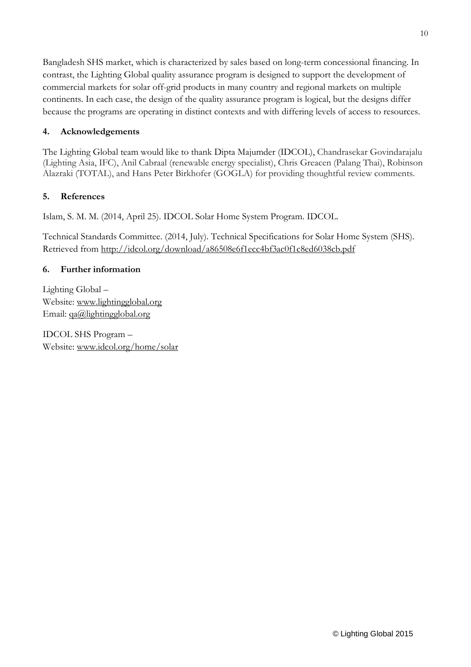Bangladesh SHS market, which is characterized by sales based on long-term concessional financing. In contrast, the Lighting Global quality assurance program is designed to support the development of commercial markets for solar off-grid products in many country and regional markets on multiple continents. In each case, the design of the quality assurance program is logical, but the designs differ because the programs are operating in distinct contexts and with differing levels of access to resources.

## **4. Acknowledgements**

The Lighting Global team would like to thank Dipta Majumder (IDCOL), Chandrasekar Govindarajalu (Lighting Asia, IFC), Anil Cabraal (renewable energy specialist), Chris Greacen (Palang Thai), Robinson Alazraki (TOTAL), and Hans Peter Birkhofer (GOGLA) for providing thoughtful review comments.

## **5. References**

Islam, S. M. M. (2014, April 25). IDCOL Solar Home System Program. IDCOL.

Technical Standards Committee. (2014, July). Technical Specifications for Solar Home System (SHS). Retrieved from <http://idcol.org/download/a86508e6f1ecc4bf3ac0f1c8ed6038cb.pdf>

## **6. Further information**

Lighting Global – Website: [www.lightingglobal.org](http://www.lightingglobal.org/) Email: [qa@lightingglobal.org](mailto:qa@lightingglobal.org)

IDCOL SHS Program – Website: [www.idcol.org/home/solar](http://www.idcol.org/home/solar)